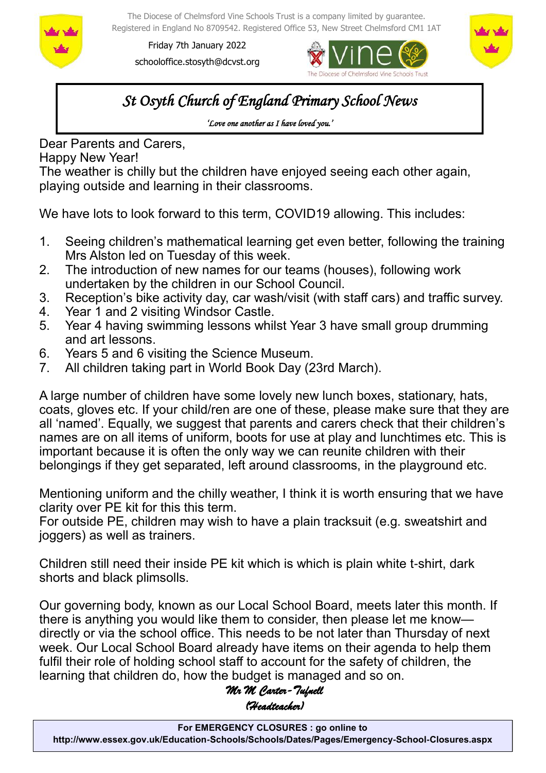

The Diocese of Chelmsford Vine Schools Trust is a company limited by guarantee. Registered in England No 8709542. Registered Office 53, New Street Chelmsford CM1 1AT

Friday 7th January 2022 schooloffice.stosyth@dcvst.org





*St Osyth Church of England Primary School News* 

*'Love one another as I have loved you.'* 

Dear Parents and Carers,

Happy New Year!

The weather is chilly but the children have enjoyed seeing each other again, playing outside and learning in their classrooms.

We have lots to look forward to this term, COVID19 allowing. This includes:

- 1. Seeing children's mathematical learning get even better, following the training Mrs Alston led on Tuesday of this week.
- 2. The introduction of new names for our teams (houses), following work undertaken by the children in our School Council.
- 3. Reception's bike activity day, car wash/visit (with staff cars) and traffic survey.
- 4. Year 1 and 2 visiting Windsor Castle.
- 5. Year 4 having swimming lessons whilst Year 3 have small group drumming and art lessons.
- 6. Years 5 and 6 visiting the Science Museum.
- 7. All children taking part in World Book Day (23rd March).

A large number of children have some lovely new lunch boxes, stationary, hats, coats, gloves etc. If your child/ren are one of these, please make sure that they are all 'named'. Equally, we suggest that parents and carers check that their children's names are on all items of uniform, boots for use at play and lunchtimes etc. This is important because it is often the only way we can reunite children with their belongings if they get separated, left around classrooms, in the playground etc.

Mentioning uniform and the chilly weather, I think it is worth ensuring that we have clarity over PE kit for this this term.

For outside PE, children may wish to have a plain tracksuit (e.g. sweatshirt and joggers) as well as trainers.

Children still need their inside PE kit which is which is plain white t-shirt, dark shorts and black plimsolls.

Our governing body, known as our Local School Board, meets later this month. If there is anything you would like them to consider, then please let me know directly or via the school office. This needs to be not later than Thursday of next week. Our Local School Board already have items on their agenda to help them fulfil their role of holding school staff to account for the safety of children, the learning that children do, how the budget is managed and so on.

# *Mr M Carter-Tufnell (Headteacher)*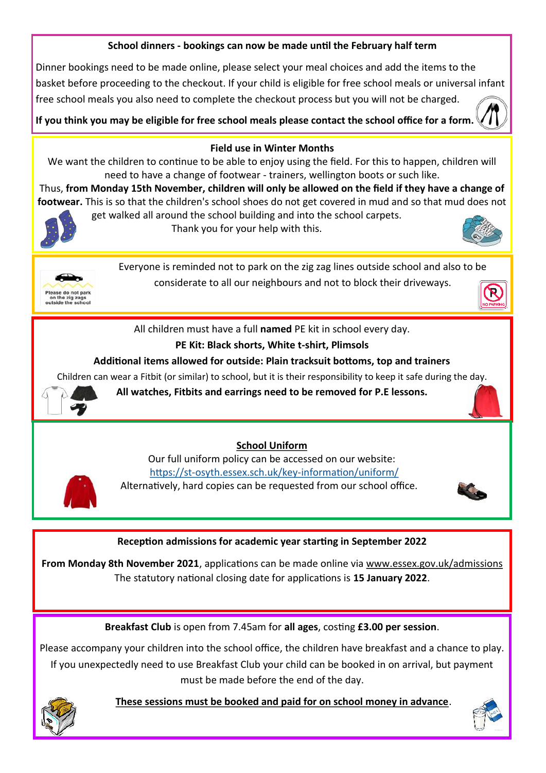## **School dinners - bookings can now be made until the February half term**

Dinner bookings need to be made online, please select your meal choices and add the items to the basket before proceeding to the checkout. If your child is eligible for free school meals or universal infant free school meals you also need to complete the checkout process but you will not be charged.

**If you think you may be eligible for free school meals please contact the school office for a form.** 



#### **Field use in Winter Months**

We want the children to continue to be able to enjoy using the field. For this to happen, children will need to have a change of footwear - trainers, wellington boots or such like.

Thus, **from Monday 15th November, children will only be allowed on the field if they have a change of footwear.** This is so that the children's school shoes do not get covered in mud and so that mud does not get walked all around the school building and into the school carpets.



Thank you for your help with this.





Everyone is reminded not to park on the zig zag lines outside school and also to be considerate to all our neighbours and not to block their driveways.



All children must have a full **named** PE kit in school every day.

# **PE Kit: Black shorts, White t-shirt, Plimsols**

### **Additional items allowed for outside: Plain tracksuit bottoms, top and trainers**

Children can wear a Fitbit (or similar) to school, but it is their responsibility to keep it safe during the day.



**All watches, Fitbits and earrings need to be removed for P.E lessons.**

### **School Uniform**

Our full uniform policy can be accessed on our website: https://st-[osyth.essex.sch.uk/key](https://st-osyth.essex.sch.uk/key-information/uniform/)-information/uniform/ Alternatively, hard copies can be requested from our school office.



### **Reception admissions for academic year starting in September 2022**

**From Monday 8th November 2021**, applications can be made online via [www.essex.gov.uk/admissions](https://gbr01.safelinks.protection.outlook.com/?url=http%3A%2F%2Fwww.essex.gov.uk%2Fadmissions&data=04%7C01%7Cschooloffice.stosyth%40dcvst.org%7Cd9dfd22d78a64e7d492d08d9a046cdd1%7C282c78034b8f4fbda3841682df47e3ad%7C1%7C0%7C637717048224412247%7CUnknown%7CTWFpb)  The statutory national closing date for applications is **15 January 2022**.

**Breakfast Club** is open from 7.45am for **all ages**, costing **£3.00 per session**.

Please accompany your children into the school office, the children have breakfast and a chance to play. If you unexpectedly need to use Breakfast Club your child can be booked in on arrival, but payment must be made before the end of the day.



 **These sessions must be booked and paid for on school money in advance**.